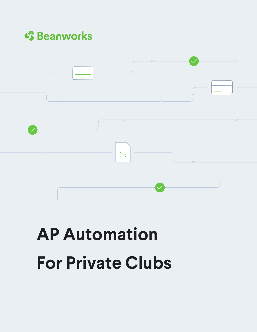



# **AP Automation For Private Clubs**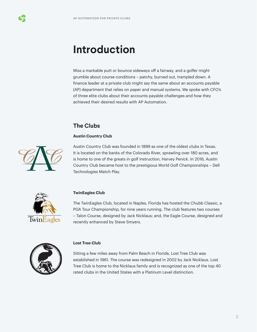### **Introduction**

Miss a markable putt or bounce sideways off a fairway, and a golfer might grumble about course conditions – patchy, burned out, trampled down. A finance leader at a private club might say the same about an accounts payable (AP) department that relies on paper and manual systems. We spoke with CFO's of three elite clubs about their accounts payable challenges and how they achieved their desired results with AP Automation.

### **The Clubs**

### **Austin Country Club**



Austin Country Club was founded in 1899 as one of the oldest clubs in Texas. It is located on the banks of the Colorado River, sprawling over 180 acres, and is home to one of the greats in golf instruction, Harvey Penick. In 2016, Austin Country Club became host to the prestigious World Golf Championships – Dell Technologies Match Play.



### **TwinEagles Club**

The TwinEagles Club, located in Naples, Florida has hosted the Chubb Classic, a PGA Tour Championship, for nine years running. The club features two courses – Talon Course, designed by Jack Nicklaus; and, the Eagle Course, designed and recently enhanced by Steve Smyers.



### **Lost Tree Club**

Sitting a few miles away from Palm Beach in Florida, Lost Tree Club was established in 1961. The course was redesigned in 2002 by Jack Nicklaus. Lost Tree Club is home to the Nicklaus family and is recognized as one of the top 40 rated clubs in the United States with a Platinum Level distinction.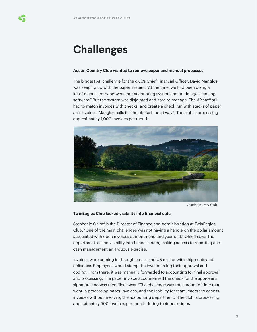### **Challenges**

#### **Austin Country Club wanted to remove paper and manual processes**

The biggest AP challenge for the club's Chief Financial Officer, David Manglos, was keeping up with the paper system. "At the time, we had been doing a lot of manual entry between our accounting system and our image scanning software." But the system was disjointed and hard to manage. The AP staff still had to match invoices with checks, and create a check run with stacks of paper and invoices. Manglos calls it, "the old-fashioned way". The club is processing approximately 1,000 invoices per month.



Austin Country Club

#### **TwinEagles Club lacked visibility into financial data**

Stephanie Ohloff is the Director of Finance and Administration at TwinEagles Club. "One of the main challenges was not having a handle on the dollar amount associated with open invoices at month-end and year-end," Ohloff says. The department lacked visibility into financial data, making access to reporting and cash management an arduous exercise.

Invoices were coming in through emails and US mail or with shipments and deliveries. Employees would stamp the invoice to log their approval and coding. From there, it was manually forwarded to accounting for final approval and processing. The paper invoice accompanied the check for the approver's signature and was then filed away. "The challenge was the amount of time that went in processing paper invoices, and the inability for team leaders to access invoices without involving the accounting department." The club is processing approximately 500 invoices per month during their peak times.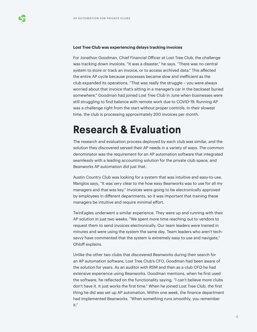#### **Lost Tree Club was experiencing delays tracking invoices**

For Jonathon Goodman, Chief Financial Officer at Lost Tree Club, the challenge was tracking down invoices. "It was a disaster," he says. "There was no central system to store or track an invoice, or to access archived data." This affected the entire AP cycle because processes became slow and inefficient as the club expanded its operations. "That was really the struggle – you were always worried about that invoice that's sitting in a manager's car in the backseat buried somewhere." Goodman had joined Lost Tree Club in June when businesses were still struggling to find balance with remote work due to COVID-19. Running AP was a challenge right from the start without proper controls. In their slowest time, the club is processing approximately 200 invoices per month.

### **Research & Evaluation**

The research and evaluation process deployed by each club was similar, and the solution they discovered served their AP needs in a variety of ways. The common denominator was the requirement for an AP automation software that integrated seamlessly with a leading accounting solution for the private club space, and Beanworks AP automation did just that.

Austin Country Club was looking for a system that was intuitive and easy-to-use. Manglos says, "It was very clear to me how easy Beanworks was to use for all my managers and that was key." Invoices were going to be electronically approved by employees in different departments, so it was important that training these managers be intuitive and require minimal effort.

TwinEagles underwent a similar experience. They were up and running with their AP solution in just two weeks. "We spent more time reaching out to vendors to request them to send invoices electronically. Our team leaders were trained in minutes and were using the system the same day. Team leaders who aren't techsavvy have commented that the system is extremely easy to use and navigate," Ohloff explains.

Unlike the other two clubs that discovered Beanworks during their search for an AP automation software, Lost Tree Club's CFO, Goodman had been aware of the solution for years. As an auditor with RSM and then as a club CFO he had extensive experience using Beanworks. Goodman mentions, when he first used the software, he reflected on the functionality saying, "I can't believe more clubs don't have it. It just works the first time." When he joined Lost Tree Club, the first thing he did was set up AP automation. Within one week, the finance department had implemented Beanworks. "When something runs smoothly, you remember it."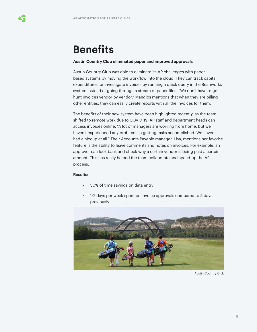## **Benefits**

### **Austin Country Club eliminated paper and improved approvals**

Austin Country Club was able to eliminate its AP challenges with paperbased systems by moving the workflow into the cloud. They can track capital expenditures, or investigate invoices by running a quick query in the Beanworks system instead of going through a stream of paper files. "We don't have to go hunt invoices vendor by vendor." Manglos mentions that when they are billing other entities, they can easily create reports with all the invoices for them.

The benefits of their new system have been highlighted recently, as the team shifted to remote work due to COVID-19. AP staff and department heads can access invoices online. "A lot of managers are working from home, but we haven't experienced any problems in getting tasks accomplished. We haven't had a hiccup at all." Their Accounts Payable manager, Lisa, mentions her favorite feature is the ability to leave comments and notes on invoices. For example, an approver can look back and check why a certain vendor is being paid a certain amount. This has really helped the team collaborate and speed-up the AP process.

### **Results:**

- 30% of time savings on data entry
- 1-2 days per week spent on invoice approvals compared to 5 days previously



Austin Country Club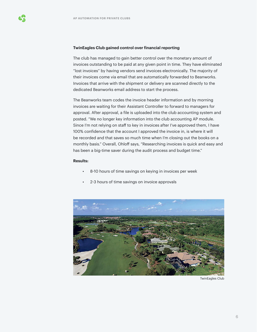### **TwinEagles Club gained control over financial reporting**

The club has managed to gain better control over the monetary amount of invoices outstanding to be paid at any given point in time. They have eliminated "lost invoices" by having vendors send invoices electronically. The majority of their invoices come via email that are automatically forwarded to Beanworks. Invoices that arrive with the shipment or delivery are scanned directly to the dedicated Beanworks email address to start the process.

The Beanworks team codes the invoice header information and by morning invoices are waiting for their Assistant Controller to forward to managers for approval. After approval, a file is uploaded into the club accounting system and posted. "We no longer key information into the club accounting AP module. Since I'm not relying on staff to key in invoices after I've approved them, I have 100% confidence that the account I approved the invoice in, is where it will be recorded and that saves so much time when I'm closing out the books on a monthly basis." Overall, Ohloff says, "Researching invoices is quick and easy and has been a big-time saver during the audit process and budget time."

### **Results:**

- 8-10 hours of time savings on keying in invoices per week
- 2-3 hours of time savings on invoice approvals



TwinEagles Club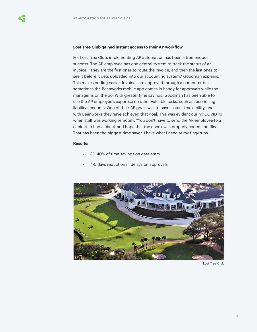#### **Lost Tree Club gained instant access to their AP workflow**

For Lost Tree Club, implementing AP automation has been a tremendous success. The AP employee has one central system to track the status of an invoice. "They are the first ones to route the invoice, and then the last ones to see it before it gets uploaded into our accounting system," Goodman explains. This makes coding easier. Invoices are approved through a computer but sometimes the Beanworks mobile app comes in handy for approvals while the manager is on the go. With greater time savings, Goodman has been able to use the AP employee's expertise on other valuable tasks, such as reconciling liability accounts. One of their AP goals was to have instant trackability, and with Beanworks they have achieved that goal. This was evident during COVID-19 when staff was working remotely. "You don't have to send the AP employee to a cabinet to find a check and hope that the check was properly coded and filed. That has been the biggest time saver. I have what I need at my fingertips."

#### **Results:**

- 30-40% of time savings on data entry
- 4-5 days reduction in delays on approvals



Lost Tree Club